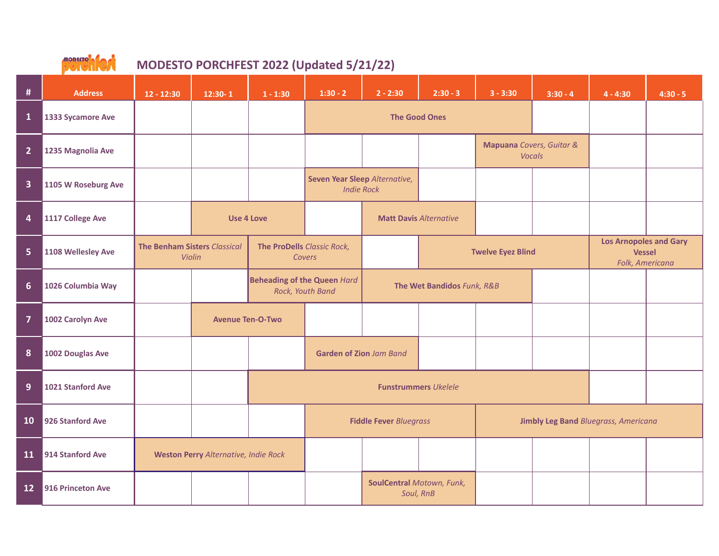

| #                       | <b>Address</b>      | $12 - 12:30$                                  | $12:30 - 1$                                            | $1 - 1:30$                           | $1:30 - 2$                                         | $2 - 2:30$                                    | $2:30 - 3$                                | $3 - 3:30$ | $3:30 - 4$                                  | $4 - 4:30$                                                        | $4:30 - 5$ |
|-------------------------|---------------------|-----------------------------------------------|--------------------------------------------------------|--------------------------------------|----------------------------------------------------|-----------------------------------------------|-------------------------------------------|------------|---------------------------------------------|-------------------------------------------------------------------|------------|
| $\mathbf{1}$            | 1333 Sycamore Ave   |                                               |                                                        |                                      |                                                    |                                               | <b>The Good Ones</b>                      |            |                                             |                                                                   |            |
| 2 <sup>1</sup>          | 1235 Magnolia Ave   |                                               |                                                        |                                      |                                                    |                                               | Mapuana Covers, Guitar &<br><b>Vocals</b> |            |                                             |                                                                   |            |
| $\overline{\mathbf{3}}$ | 1105 W Roseburg Ave |                                               |                                                        |                                      | Seven Year Sleep Alternative,<br><b>Indie Rock</b> |                                               |                                           |            |                                             |                                                                   |            |
| 4                       | 1117 College Ave    | <b>Use 4 Love</b>                             |                                                        |                                      | <b>Matt Davis Alternative</b>                      |                                               |                                           |            |                                             |                                                                   |            |
| 5                       | 1108 Wellesley Ave  | <b>The Benham Sisters Classical</b><br>Violin |                                                        | The ProDells Classic Rock,<br>Covers |                                                    |                                               | <b>Twelve Eyez Blind</b>                  |            |                                             | <b>Los Arnopoles and Gary</b><br><b>Vessel</b><br>Folk, Americana |            |
| 6                       | 1026 Columbia Way   |                                               | <b>Beheading of the Queen Hard</b><br>Rock, Youth Band |                                      | The Wet Bandidos Funk, R&B                         |                                               |                                           |            |                                             |                                                                   |            |
| $\overline{7}$          | 1002 Carolyn Ave    |                                               | <b>Avenue Ten-O-Two</b>                                |                                      |                                                    |                                               |                                           |            |                                             |                                                                   |            |
| 8                       | 1002 Douglas Ave    |                                               |                                                        | <b>Garden of Zion Jam Band</b>       |                                                    |                                               |                                           |            |                                             |                                                                   |            |
| 9                       | 1021 Stanford Ave   |                                               |                                                        | <b>Funstrummers Ukelele</b>          |                                                    |                                               |                                           |            |                                             |                                                                   |            |
| 10                      | 926 Stanford Ave    |                                               |                                                        | <b>Fiddle Fever Bluegrass</b>        |                                                    |                                               |                                           |            | <b>Jimbly Leg Band Bluegrass, Americana</b> |                                                                   |            |
| 11                      | 914 Stanford Ave    | <b>Weston Perry Alternative, Indie Rock</b>   |                                                        |                                      |                                                    |                                               |                                           |            |                                             |                                                                   |            |
| 12                      | 916 Princeton Ave   |                                               |                                                        |                                      |                                                    | <b>SoulCentral Motown, Funk,</b><br>Soul, RnB |                                           |            |                                             |                                                                   |            |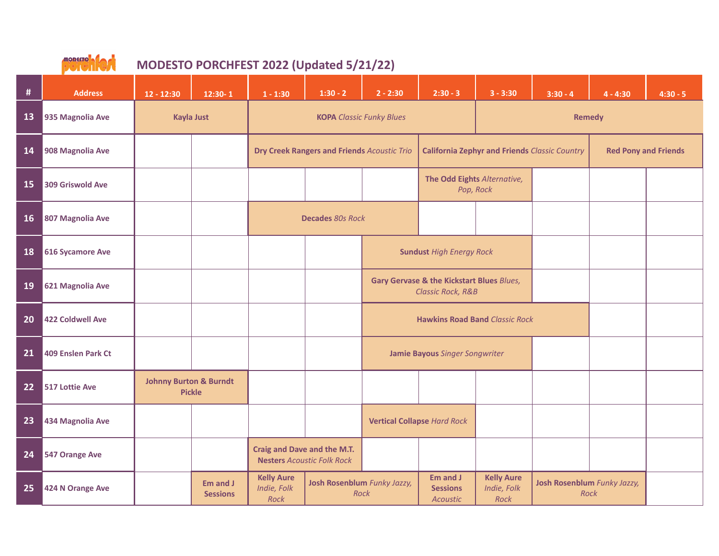

| #  | <b>Address</b>     | $12 - 12:30$                                       | $12:30 - 1$                 | $1 - 1:30$                                                       | $1:30 - 2$                                                                                          | $2 - 2:30$                                                                           | $2:30 - 3$                               | $3 - 3:30$                                           | $3:30 - 4$    | $4 - 4:30$                  | $4:30 - 5$ |
|----|--------------------|----------------------------------------------------|-----------------------------|------------------------------------------------------------------|-----------------------------------------------------------------------------------------------------|--------------------------------------------------------------------------------------|------------------------------------------|------------------------------------------------------|---------------|-----------------------------|------------|
| 13 | 935 Magnolia Ave   | <b>Kayla Just</b>                                  |                             |                                                                  | <b>KOPA</b> Classic Funky Blues                                                                     |                                                                                      |                                          |                                                      | <b>Remedy</b> |                             |            |
| 14 | 908 Magnolia Ave   |                                                    |                             | <b>Dry Creek Rangers and Friends Acoustic Trio</b>               |                                                                                                     |                                                                                      |                                          | <b>California Zephyr and Friends Classic Country</b> |               | <b>Red Pony and Friends</b> |            |
| 15 | 309 Griswold Ave   |                                                    |                             |                                                                  |                                                                                                     |                                                                                      | The Odd Eights Alternative,<br>Pop, Rock |                                                      |               |                             |            |
| 16 | 807 Magnolia Ave   |                                                    |                             | <b>Decades 80s Rock</b>                                          |                                                                                                     |                                                                                      |                                          |                                                      |               |                             |            |
| 18 | 616 Sycamore Ave   |                                                    |                             |                                                                  |                                                                                                     | <b>Sundust High Energy Rock</b>                                                      |                                          |                                                      |               |                             |            |
| 19 | 621 Magnolia Ave   |                                                    |                             |                                                                  |                                                                                                     | <b>Gary Gervase &amp; the Kickstart Blues Blues,</b><br><b>Classic Rock, R&amp;B</b> |                                          |                                                      |               |                             |            |
| 20 | 422 Coldwell Ave   |                                                    |                             |                                                                  |                                                                                                     |                                                                                      |                                          | <b>Hawkins Road Band Classic Rock</b>                |               |                             |            |
| 21 | 409 Enslen Park Ct |                                                    |                             |                                                                  |                                                                                                     | Jamie Bayous Singer Songwriter                                                       |                                          |                                                      |               |                             |            |
| 22 | 517 Lottie Ave     | <b>Johnny Burton &amp; Burndt</b><br><b>Pickle</b> |                             |                                                                  |                                                                                                     |                                                                                      |                                          |                                                      |               |                             |            |
| 23 | 434 Magnolia Ave   |                                                    |                             |                                                                  |                                                                                                     | <b>Vertical Collapse Hard Rock</b>                                                   |                                          |                                                      |               |                             |            |
| 24 | 547 Orange Ave     |                                                    |                             | Craig and Dave and the M.T.<br><b>Nesters Acoustic Folk Rock</b> |                                                                                                     |                                                                                      |                                          |                                                      |               |                             |            |
| 25 | 424 N Orange Ave   |                                                    | Em and J<br><b>Sessions</b> | <b>Kelly Aure</b><br>Indie, Folk<br>Rock                         | Em and J<br><b>Josh Rosenblum</b> Funky Jazzy,<br><b>Sessions</b><br><b>Rock</b><br><b>Acoustic</b> |                                                                                      | <b>Kelly Aure</b><br>Indie, Folk<br>Rock | Josh Rosenblum Funky Jazzy,<br>Rock                  |               |                             |            |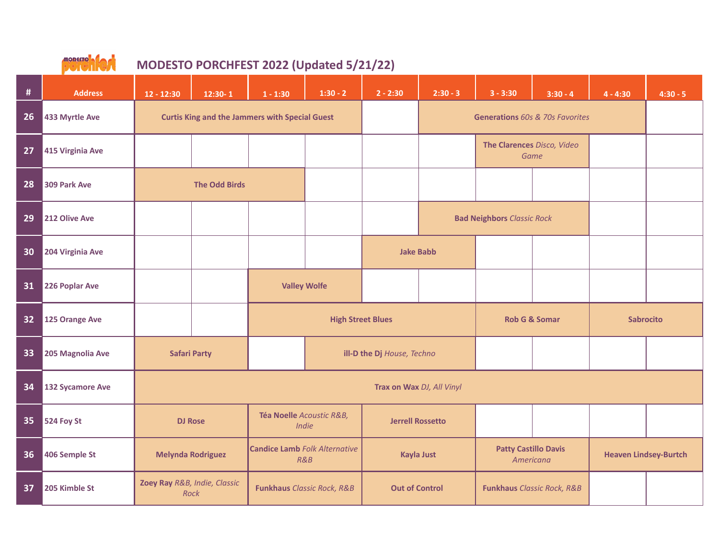

| #  | <b>Address</b>   | $12 - 12:30$                 | $12:30 - 1$                                           | $1 - 1:30$                                  | $1:30 - 2$                 | $2 - 2:30$                 | $2:30 - 3$                        | $3 - 3:30$                               | $3:30 - 4$               | $4 - 4:30$                   | $4:30 - 5$ |
|----|------------------|------------------------------|-------------------------------------------------------|---------------------------------------------|----------------------------|----------------------------|-----------------------------------|------------------------------------------|--------------------------|------------------------------|------------|
| 26 | 433 Myrtle Ave   |                              | <b>Curtis King and the Jammers with Special Guest</b> |                                             |                            |                            | Generations 60s & 70s Favorites   |                                          |                          |                              |            |
| 27 | 415 Virginia Ave |                              |                                                       |                                             |                            |                            |                                   | The Clarences Disco, Video               | Game                     |                              |            |
| 28 | 309 Park Ave     |                              | <b>The Odd Birds</b>                                  |                                             |                            |                            |                                   |                                          |                          |                              |            |
| 29 | 212 Olive Ave    |                              |                                                       |                                             |                            |                            | <b>Bad Neighbors Classic Rock</b> |                                          |                          |                              |            |
| 30 | 204 Virginia Ave |                              |                                                       |                                             |                            | <b>Jake Babb</b>           |                                   |                                          |                          |                              |            |
| 31 | 226 Poplar Ave   |                              |                                                       | <b>Valley Wolfe</b>                         |                            |                            |                                   |                                          |                          |                              |            |
| 32 | 125 Orange Ave   |                              |                                                       |                                             | <b>High Street Blues</b>   |                            |                                   |                                          | <b>Rob G &amp; Somar</b> | <b>Sabrocito</b>             |            |
| 33 | 205 Magnolia Ave | <b>Safari Party</b>          |                                                       |                                             |                            | ill-D the Dj House, Techno |                                   |                                          |                          |                              |            |
| 34 | 132 Sycamore Ave | Trax on Wax DJ, All Vinyl    |                                                       |                                             |                            |                            |                                   |                                          |                          |                              |            |
| 35 | 524 Foy St       |                              | <b>DJ Rose</b>                                        | Téa Noelle Acoustic R&B,<br>Indie           |                            | <b>Jerrell Rossetto</b>    |                                   |                                          |                          |                              |            |
| 36 | 406 Semple St    | <b>Melynda Rodriguez</b>     |                                                       | <b>Candice Lamb Folk Alternative</b><br>R&B |                            | Kayla Just                 |                                   | <b>Patty Castillo Davis</b><br>Americana |                          | <b>Heaven Lindsey-Burtch</b> |            |
| 37 | 205 Kimble St    | Zoey Ray R&B, Indie, Classic | Rock                                                  |                                             | Funkhaus Classic Rock, R&B | <b>Out of Control</b>      |                                   | <b>Funkhaus Classic Rock, R&amp;B</b>    |                          |                              |            |